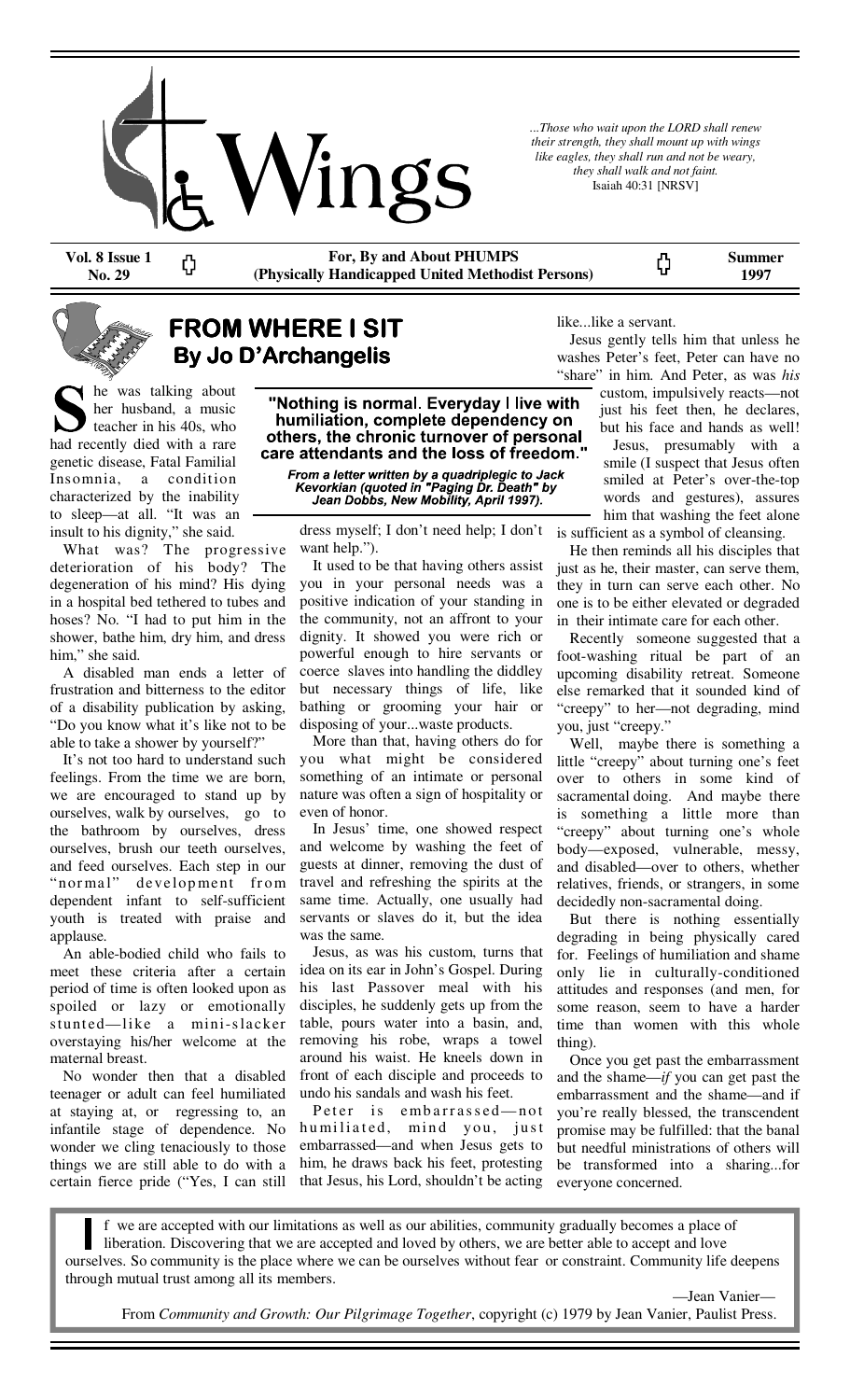

*...Those who wait upon the LORD shall renew their strength, they shall mount up with wings like eagles, they shall run and not be weary, they shall walk and not faint.*  Isaiah 40:31 [NRSV]

ς,

**Vol. 8 Issue 1 No. 29** 

ς)

**For, By and About PHUMPS (Physically Handicapped United Methodist Persons)** 

**Summer 1997** 

### **FROM WHERE I SIT By Jo D'Archangelis D'Archangelis D'Archangelis**

he was talking about her husband, a music teacher in his 40s, who had recently died with a rare genetic disease, Fatal Familial Insomnia, a condition characterized by the inability to sleep—at all. "It was an insult to his dignity," she said.

 What was? The progressive deterioration of his body? The degeneration of his mind? His dying in a hospital bed tethered to tubes and hoses? No. "I had to put him in the shower, bathe him, dry him, and dress him," she said.

 A disabled man ends a letter of frustration and bitterness to the editor of a disability publication by asking, "Do you know what it's like not to be able to take a shower by yourself?"

 It's not too hard to understand such feelings. From the time we are born, we are encouraged to stand up by ourselves, walk by ourselves, go to the bathroom by ourselves, dress ourselves, brush our teeth ourselves, and feed ourselves. Each step in our "normal" development from dependent infant to self-sufficient youth is treated with praise and applause.

 An able-bodied child who fails to meet these criteria after a certain period of time is often looked upon as spoiled or lazy or emotionally stunted—like a mini-slacker overstaying his/her welcome at the maternal breast.

 No wonder then that a disabled teenager or adult can feel humiliated at staying at, or regressing to, an infantile stage of dependence. No wonder we cling tenaciously to those things we are still able to do with a certain fierce pride ("Yes, I can still

"Nothing is normal. Everyday I live with humiliation, complete dependency on others, the chronic turnover of personal care attendants and the loss of freedom."

From a letter written by a quadriplegic to Jack<br>Kevorkian (quoted in "Paging Dr. Death" by<br>Jean Dobbs, New Mobility, April 1997).

dress myself; I don't need help; I don't want help.").

 It used to be that having others assist you in your personal needs was a positive indication of your standing in the community, not an affront to your dignity. It showed you were rich or powerful enough to hire servants or coerce slaves into handling the diddley but necessary things of life, like bathing or grooming your hair or disposing of your...waste products.

 More than that, having others do for you what might be considered something of an intimate or personal nature was often a sign of hospitality or even of honor.

 In Jesus' time, one showed respect and welcome by washing the feet of guests at dinner, removing the dust of travel and refreshing the spirits at the same time. Actually, one usually had servants or slaves do it, but the idea was the same.

 Jesus, as was his custom, turns that idea on its ear in John's Gospel. During his last Passover meal with his disciples, he suddenly gets up from the table, pours water into a basin, and, removing his robe, wraps a towel around his waist. He kneels down in front of each disciple and proceeds to undo his sandals and wash his feet.

Peter is embarrassed-not humiliated, mind you, just embarrassed—and when Jesus gets to him, he draws back his feet, protesting that Jesus, his Lord, shouldn't be acting like...like a servant.

 Jesus gently tells him that unless he washes Peter's feet, Peter can have no "share" in him. And Peter, as was *his*

custom, impulsively reacts—not just his feet then, he declares, but his face and hands as well!

 Jesus, presumably with a smile (I suspect that Jesus often smiled at Peter's over-the-top words and gestures), assures him that washing the feet alone is sufficient as a symbol of cleansing.

 He then reminds all his disciples that just as he, their master, can serve them, they in turn can serve each other. No one is to be either elevated or degraded in their intimate care for each other.

 Recently someone suggested that a foot-washing ritual be part of an upcoming disability retreat. Someone else remarked that it sounded kind of "creepy" to her—not degrading, mind you, just "creepy."

 Well, maybe there is something a little "creepy" about turning one's feet over to others in some kind of sacramental doing. And maybe there is something a little more than "creepy" about turning one's whole body—exposed, vulnerable, messy, and disabled—over to others, whether relatives, friends, or strangers, in some decidedly non-sacramental doing.

 But there is nothing essentially degrading in being physically cared for. Feelings of humiliation and shame only lie in culturally-conditioned attitudes and responses (and men, for some reason, seem to have a harder time than women with this whole thing).

 Once you get past the embarrassment and the shame—*if* you can get past the embarrassment and the shame—and if you're really blessed, the transcendent promise may be fulfilled: that the banal but needful ministrations of others will be transformed into a sharing...for everyone concerned.

f we are accepted with our limitations as well as our abilities, community gradually becomes a place of liberation. Discovering that we are accepted and loved by others, we are better able to accept and love ourselves. So community is the place where we can be ourselves without fear or constraint. Community life deepens through mutual trust among all its members.

—Jean Vanier—

From *Community and Growth: Our Pilgrimage Together*, copyright (c) 1979 by Jean Vanier, Paulist Press.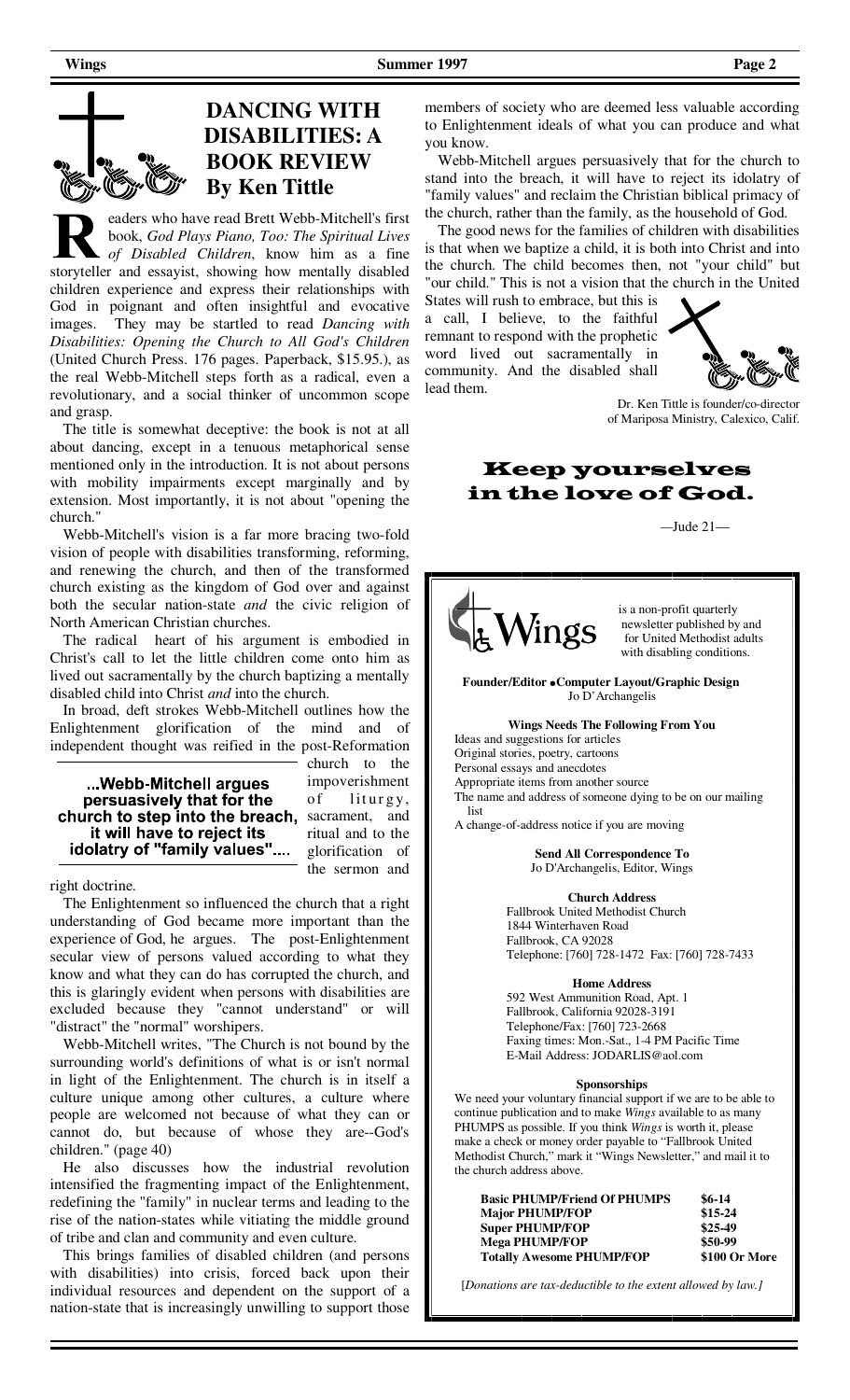## **DANCING WITH DISABILITIES: A BOOK REVIEW By Ken Tittle**

eaders who have read Brett Webb-Mitchell's first book, *God Plays Piano, Too: The Spiritual Lives of Disabled Children*, know him as a fine storyteller and essayist, showing how mentally disabled children experience and express their relationships with God in poignant and often insightful and evocative images. They may be startled to read *Dancing with Disabilities: Opening the Church to All God's Children*  (United Church Press. 176 pages. Paperback, \$15.95.), as the real Webb-Mitchell steps forth as a radical, even a revolutionary, and a social thinker of uncommon scope and grasp.

 The title is somewhat deceptive: the book is not at all about dancing, except in a tenuous metaphorical sense mentioned only in the introduction. It is not about persons with mobility impairments except marginally and by extension. Most importantly, it is not about "opening the church."

 Webb-Mitchell's vision is a far more bracing two-fold vision of people with disabilities transforming, reforming, and renewing the church, and then of the transformed church existing as the kingdom of God over and against both the secular nation-state *and* the civic religion of North American Christian churches.

 The radical heart of his argument is embodied in Christ's call to let the little children come onto him as lived out sacramentally by the church baptizing a mentally disabled child into Christ *and* into the church.

 In broad, deft strokes Webb-Mitchell outlines how the Enlightenment glorification of the mind and of independent thought was reified in the post-Reformation

...Webb-Mitchell argues persuasively that for the church to step into the breach, it will have to reject its idolatry of "family values"....

church to the impoverishment of liturgy, sacrament, and ritual and to the glorification of the sermon and

right doctrine.

 The Enlightenment so influenced the church that a right understanding of God became more important than the experience of God, he argues. The post-Enlightenment secular view of persons valued according to what they know and what they can do has corrupted the church, and this is glaringly evident when persons with disabilities are excluded because they "cannot understand" or will "distract" the "normal" worshipers.

 Webb-Mitchell writes, "The Church is not bound by the surrounding world's definitions of what is or isn't normal in light of the Enlightenment. The church is in itself a culture unique among other cultures, a culture where people are welcomed not because of what they can or cannot do, but because of whose they are--God's children." (page 40)

 He also discusses how the industrial revolution intensified the fragmenting impact of the Enlightenment, redefining the "family" in nuclear terms and leading to the rise of the nation-states while vitiating the middle ground of tribe and clan and community and even culture.

 This brings families of disabled children (and persons with disabilities) into crisis, forced back upon their individual resources and dependent on the support of a nation-state that is increasingly unwilling to support those members of society who are deemed less valuable according to Enlightenment ideals of what you can produce and what you know.

 Webb-Mitchell argues persuasively that for the church to stand into the breach, it will have to reject its idolatry of "family values" and reclaim the Christian biblical primacy of the church, rather than the family, as the household of God.

 The good news for the families of children with disabilities is that when we baptize a child, it is both into Christ and into the church. The child becomes then, not "your child" but "our child." This is not a vision that the church in the United

States will rush to embrace, but this is a call, I believe, to the faithful remnant to respond with the prophetic word lived out sacramentally in community. And the disabled shall lead them.



Dr. Ken Tittle is founder/co-director of Mariposa Ministry, Calexico, Calif.

Keep yourselves in the love of God.

 *—*Jude 21—



is a non-profit quarterly<br>newsletter published by<br>for United Methodist a newsletter published by and for United Methodist adults with disabling conditions.

**Founder/Editor Computer Layout/Graphic Design**  Jo D'Archangelis

#### **Wings Needs The Following From You**

 Ideas and suggestions for articles Original stories, poetry, cartoons Personal essays and anecdotes Appropriate items from another source The name and address of someone dying to be on our mailing list

A change-of-address notice if you are moving

**Send All Correspondence To**  Jo D'Archangelis, Editor, Wings

**Church Address** 

 Fallbrook United Methodist Church 1844 Winterhaven Road Fallbrook, CA 92028 Telephone: [760] 728-1472 Fax: [760] 728-7433

#### **Home Address**

 592 West Ammunition Road, Apt. 1 Fallbrook, California 92028-3191 Telephone/Fax: [760] 723-2668 Faxing times: Mon.-Sat., 1-4 PM Pacific Time E-Mail Address: JODARLIS@aol.com

#### **Sponsorships**

 We need your voluntary financial support if we are to be able to continue publication and to make *Wings* available to as many PHUMPS as possible. If you think *Wings* is worth it, please make a check or money order payable to "Fallbrook United Methodist Church," mark it "Wings Newsletter," and mail it to the church address above.

| $$6-14$       |
|---------------|
| $$15-24$      |
| $$25-49$      |
| \$50-99       |
| \$100 Or More |
|               |

[*Donations are tax-deductible to the extent allowed by law.]*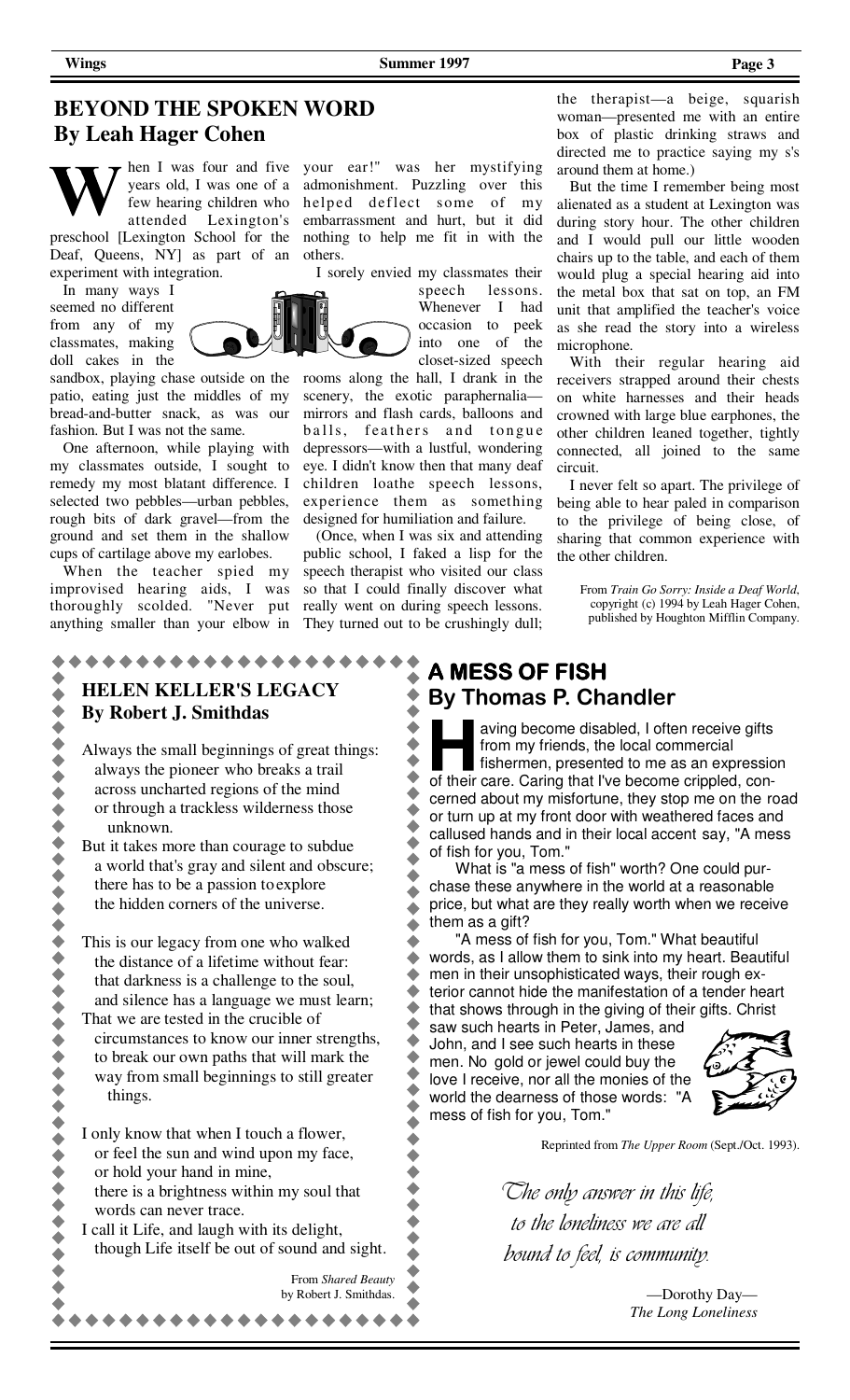### **BEYOND THE SPOKEN WORD By Leah Hager Cohen**



years old, I was one of a few hearing children who attended Lexington's

preschool [Lexington School for the Deaf, Queens, NY] as part of an experiment with integration.

 In many ways I seemed no different from any of my classmates, making doll cakes in the

sandbox, playing chase outside on the patio, eating just the middles of my bread-and-butter snack, as was our fashion. But I was not the same.

 One afternoon, while playing with my classmates outside, I sought to remedy my most blatant difference. I selected two pebbles—urban pebbles, rough bits of dark gravel—from the ground and set them in the shallow cups of cartilage above my earlobes.

 When the teacher spied my improvised hearing aids, I was thoroughly scolded. "Never put anything smaller than your elbow in

hen I was four and five your ear!" was her mystifying admonishment. Puzzling over this helped deflect some of my embarrassment and hurt, but it did nothing to help me fit in with the others.

I sorely envied my classmates their

speech lessons. Whenever I had occasion to peek into one of the closet-sized speech

rooms along the hall, I drank in the scenery, the exotic paraphernalia mirrors and flash cards, balloons and balls, feathers and tongue depressors—with a lustful, wondering eye. I didn't know then that many deaf children loathe speech lessons, experience them as something designed for humiliation and failure.

 (Once, when I was six and attending public school, I faked a lisp for the speech therapist who visited our class so that I could finally discover what really went on during speech lessons. They turned out to be crushingly dull;

 $\blacklozenge$ 

 $\bullet$ 

۸

Ò

 $\blacklozenge$ 

 $\bullet$  $\bullet$ 

 $\blacktriangle$ 

 $\bullet$ 

 $\blacklozenge$ 

 $\blacklozenge$  $\bullet$ 

 $\bullet$ 

the therapist—a beige, squarish woman—presented me with an entire box of plastic drinking straws and directed me to practice saying my s's around them at home.)

 But the time I remember being most alienated as a student at Lexington was during story hour. The other children and I would pull our little wooden chairs up to the table, and each of them would plug a special hearing aid into the metal box that sat on top, an FM unit that amplified the teacher's voice as she read the story into a wireless microphone.

 With their regular hearing aid receivers strapped around their chests on white harnesses and their heads crowned with large blue earphones, the other children leaned together, tightly connected, all joined to the same circuit.

 I never felt so apart. The privilege of being able to hear paled in comparison to the privilege of being close, of sharing that common experience with the other children.

From *Train Go Sorry: Inside a Deaf World*, copyright (c) 1994 by Leah Hager Cohen, published by Houghton Mifflin Company.

### **A MESS OF FISH By Thomas P. Chandler**

aving become disabled, I often receive gifts from my friends, the local commercial fishermen, presented to me as an expression of their care. Caring that I've become crippled, concerned about my misfortune, they stop me on the road or turn up at my front door with weathered faces and callused hands and in their local accent say, "A mess of fish for you, Tom."

 What is "a mess of fish" worth? One could purchase these anywhere in the world at a reasonable price, but what are they really worth when we receive them as a gift?

 "A mess of fish for you, Tom." What beautiful  $\bullet$  $\blacktriangle$ words, as I allow them to sink into my heart. Beautiful  $\bullet$ men in their unsophisticated ways, their rough ex- $\ddot{\bullet}$ terior cannot hide the manifestation of a tender heart  $\blacklozenge$ that shows through in the giving of their gifts. Christ

۰ saw such hearts in Peter, James, and John, and I see such hearts in these  $\hat{\phantom{a}}$ men. No gold or jewel could buy the  $\bullet$ love I receive, nor all the monies of the world the dearness of those words: "A mess of fish for you, Tom."  $\hat{\phantom{a}}$ 



Reprinted from *The Upper Room* (Sept./Oct. 1993).

*The only answer in this life, to the loneliness we are all bound to feel, is community.* 

> —Dorothy Day— *The Long Loneliness*





 $\bullet$  $\blacklozenge$  $\blacklozenge$ 

 $\ddot{\bullet}$ 

 $\blacklozenge$ 

◆◆◆

 $\ddot{\bullet}$ 

 $\bullet$ 

 $\bullet$ 

 $\blacklozenge$ 

 $\blacklozenge$ 

 $\blacklozenge$ 

 $\ddot{\bullet}$ 

 $\blacklozenge$ 

 $\bullet$  $\bullet$ 

 $\blacklozenge$ 

 $\blacklozenge$  $\blacklozenge$  $\dot{\bullet}$ 

 $\ddot{\bullet}$ 

 $\dot{\bullet}$ 

 $\bullet$ 

 $\blacklozenge$ 

This is our legacy from one who walked the distance of a lifetime without fear: that darkness is a challenge to the soul, and silence has a language we must learn;

That we are tested in the crucible of circumstances to know our inner strengths, to break our own paths that will mark the way from small beginnings to still greater things.

I only know that when I touch a flower, or feel the sun and wind upon my face,

- or hold your hand in mine,
- there is a brightness within my soul that words can never trace.

 $\blacklozenge$ I call it Life, and laugh with its delight,  $\blacklozenge$  though Life itself be out of sound and sight.  $\bullet$  $\ddot{\bullet}$ From *Shared Beauty* ۵

by Robert J. Smithdas.

\*\*\*\*\*\*\*\*\*\*